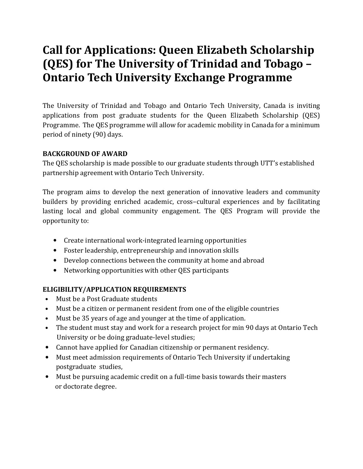# Call for Applications: Queen Elizabeth Scholarship (QES) for The University of Trinidad and Tobago -**Ontario Tech University Exchange Programme**

The University of Trinidad and Tobago and Ontario Tech University, Canada is inviting applications from post graduate students for the Queen Elizabeth Scholarship (QES) Programme. The QES programme will allow for academic mobility in Canada for a minimum period of ninety (90) days.

## BACKGROUND OF AWARD

The QES scholarship is made possible to our graduate students through UTT's established partnership agreement with Ontario Tech University.

The program aims to develop the next generation of innovative leaders and community builders by providing enriched academic, cross–cultural experiences and by facilitating lasting local and global community engagement. The QES Program will provide the opportunity to:

- Create international work-integrated learning opportunities
- Foster leadership, entrepreneurship and innovation skills
- Develop connections between the community at home and abroad
- Networking opportunities with other QES participants

### ELIGIBILITY/APPLICATION REQUIREMENTS

- Must be a Post Graduate students
- Must be a citizen or permanent resident from one of the eligible countries
- Must be 35 years of age and younger at the time of application.
- The student must stay and work for a research project for min 90 days at Ontario Tech University or be doing graduate-level studies;
- Cannot have applied for Canadian citizenship or permanent residency.
- Must meet admission requirements of Ontario Tech University if undertaking postgraduate studies,
- Must be pursuing academic credit on a full-time basis towards their masters or doctorate degree.